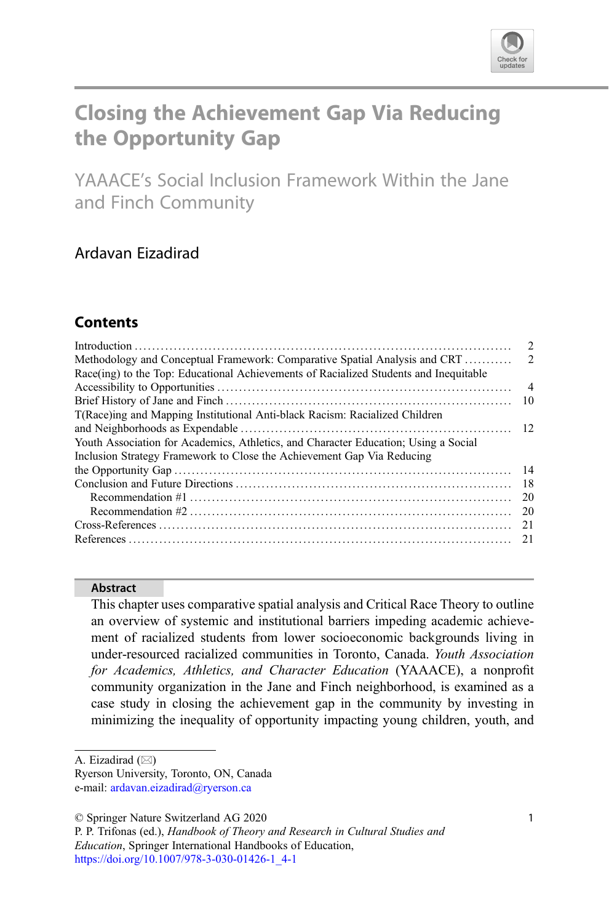

# Closing the Achievement Gap Via Reducing the Opportunity Gap

YAAACE's Social Inclusion Framework Within the Jane and Finch Community

# Ardavan Eizadirad

# **Contents**

|                                                                                       | $\overline{2}$ |
|---------------------------------------------------------------------------------------|----------------|
| Methodology and Conceptual Framework: Comparative Spatial Analysis and CRT            | $\overline{2}$ |
| Race(ing) to the Top: Educational Achievements of Racialized Students and Inequitable |                |
|                                                                                       | $\overline{4}$ |
|                                                                                       |                |
| T(Race)ing and Mapping Institutional Anti-black Racism: Racialized Children           |                |
|                                                                                       |                |
| Youth Association for Academics, Athletics, and Character Education; Using a Social   |                |
| Inclusion Strategy Framework to Close the Achievement Gap Via Reducing                |                |
|                                                                                       |                |
|                                                                                       | - 18           |
|                                                                                       | 20             |
|                                                                                       |                |
|                                                                                       |                |
|                                                                                       |                |
|                                                                                       |                |

#### Abstract

This chapter uses comparative spatial analysis and Critical Race Theory to outline an overview of systemic and institutional barriers impeding academic achievement of racialized students from lower socioeconomic backgrounds living in under-resourced racialized communities in Toronto, Canada. Youth Association for Academics, Athletics, and Character Education (YAAACE), a nonprofit community organization in the Jane and Finch neighborhood, is examined as a case study in closing the achievement gap in the community by investing in minimizing the inequality of opportunity impacting young children, youth, and

A. Eizadirad  $(\boxtimes)$ 

Ryerson University, Toronto, ON, Canada e-mail: [ardavan.eizadirad@ryerson.ca](mailto:ardavan.eizadirad@ryerson.ca)

<sup>©</sup> Springer Nature Switzerland AG 2020

P. P. Trifonas (ed.), Handbook of Theory and Research in Cultural Studies and Education, Springer International Handbooks of Education, [https://doi.org/10.1007/978-3-030-01426-1\\_4-1](https://doi.org/10.1007/978-3-030-01426-1_4-1)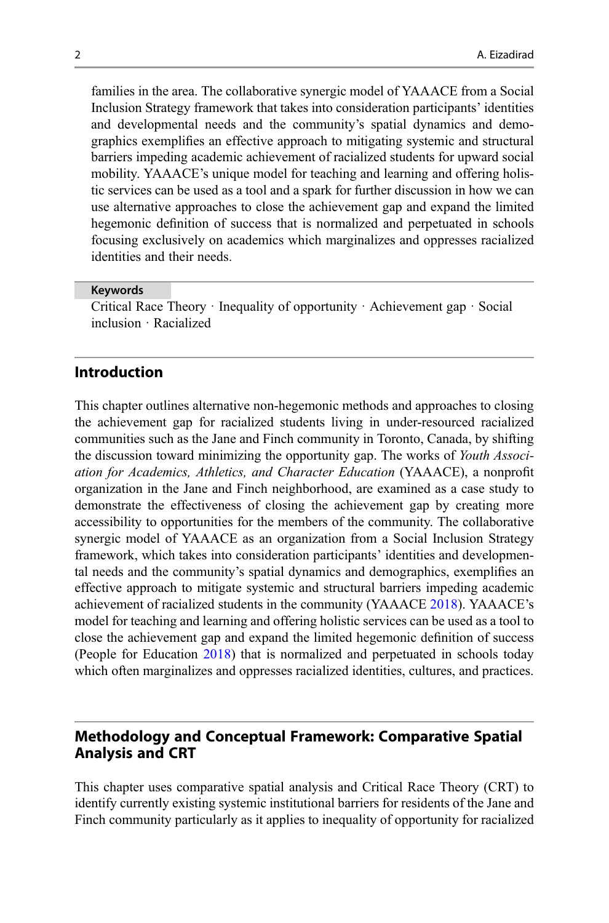families in the area. The collaborative synergic model of YAAACE from a Social Inclusion Strategy framework that takes into consideration participants' identities and developmental needs and the community's spatial dynamics and demographics exemplifies an effective approach to mitigating systemic and structural barriers impeding academic achievement of racialized students for upward social mobility. YAAACE's unique model for teaching and learning and offering holistic services can be used as a tool and a spark for further discussion in how we can use alternative approaches to close the achievement gap and expand the limited hegemonic definition of success that is normalized and perpetuated in schools focusing exclusively on academics which marginalizes and oppresses racialized identities and their needs.

#### Keywords

Critical Race Theory · Inequality of opportunity · Achievement gap · Social inclusion · Racialized

## Introduction

This chapter outlines alternative non-hegemonic methods and approaches to closing the achievement gap for racialized students living in under-resourced racialized communities such as the Jane and Finch community in Toronto, Canada, by shifting the discussion toward minimizing the opportunity gap. The works of Youth Association for Academics, Athletics, and Character Education (YAAACE), a nonprofit organization in the Jane and Finch neighborhood, are examined as a case study to demonstrate the effectiveness of closing the achievement gap by creating more accessibility to opportunities for the members of the community. The collaborative synergic model of YAAACE as an organization from a Social Inclusion Strategy framework, which takes into consideration participants' identities and developmental needs and the community's spatial dynamics and demographics, exemplifies an effective approach to mitigate systemic and structural barriers impeding academic achievement of racialized students in the community (YAAACE [2018](#page-22-0)). YAAACE's model for teaching and learning and offering holistic services can be used as a tool to close the achievement gap and expand the limited hegemonic definition of success (People for Education [2018\)](#page-22-0) that is normalized and perpetuated in schools today which often marginalizes and oppresses racialized identities, cultures, and practices.

# Methodology and Conceptual Framework: Comparative Spatial Analysis and CRT

This chapter uses comparative spatial analysis and Critical Race Theory (CRT) to identify currently existing systemic institutional barriers for residents of the Jane and Finch community particularly as it applies to inequality of opportunity for racialized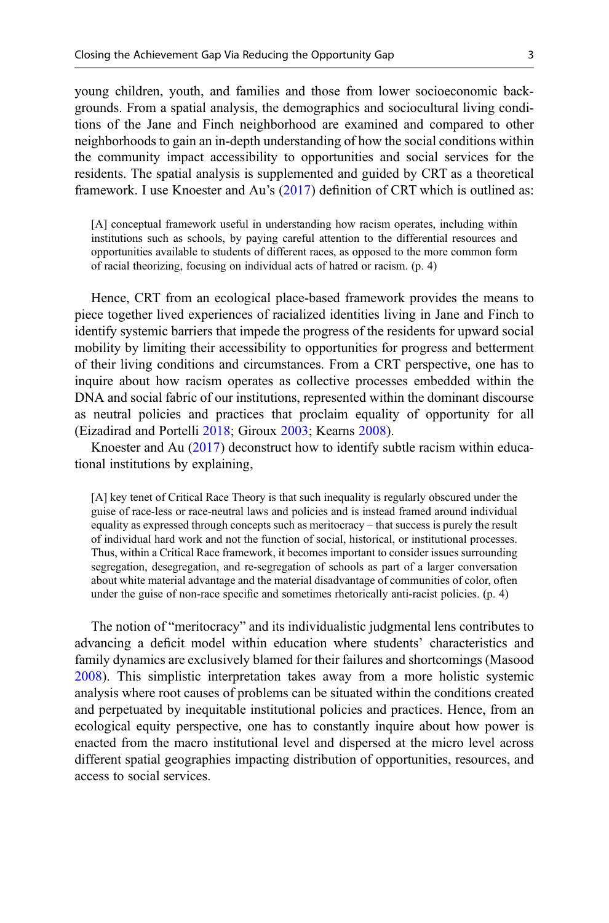young children, youth, and families and those from lower socioeconomic backgrounds. From a spatial analysis, the demographics and sociocultural living conditions of the Jane and Finch neighborhood are examined and compared to other neighborhoods to gain an in-depth understanding of how the social conditions within the community impact accessibility to opportunities and social services for the residents. The spatial analysis is supplemented and guided by CRT as a theoretical framework. I use Knoester and Au's ([2017\)](#page-21-0) definition of CRT which is outlined as:

[A] conceptual framework useful in understanding how racism operates, including within institutions such as schools, by paying careful attention to the differential resources and opportunities available to students of different races, as opposed to the more common form of racial theorizing, focusing on individual acts of hatred or racism. (p. 4)

Hence, CRT from an ecological place-based framework provides the means to piece together lived experiences of racialized identities living in Jane and Finch to identify systemic barriers that impede the progress of the residents for upward social mobility by limiting their accessibility to opportunities for progress and betterment of their living conditions and circumstances. From a CRT perspective, one has to inquire about how racism operates as collective processes embedded within the DNA and social fabric of our institutions, represented within the dominant discourse as neutral policies and practices that proclaim equality of opportunity for all (Eizadirad and Portelli [2018](#page-21-0); Giroux [2003;](#page-21-0) Kearns [2008\)](#page-21-0).

Knoester and Au [\(2017](#page-21-0)) deconstruct how to identify subtle racism within educational institutions by explaining,

[A] key tenet of Critical Race Theory is that such inequality is regularly obscured under the guise of race-less or race-neutral laws and policies and is instead framed around individual equality as expressed through concepts such as meritocracy – that success is purely the result of individual hard work and not the function of social, historical, or institutional processes. Thus, within a Critical Race framework, it becomes important to consider issues surrounding segregation, desegregation, and re-segregation of schools as part of a larger conversation about white material advantage and the material disadvantage of communities of color, often under the guise of non-race specific and sometimes rhetorically anti-racist policies. (p. 4)

The notion of "meritocracy" and its individualistic judgmental lens contributes to advancing a deficit model within education where students' characteristics and family dynamics are exclusively blamed for their failures and shortcomings (Masood [2008\)](#page-21-0). This simplistic interpretation takes away from a more holistic systemic analysis where root causes of problems can be situated within the conditions created and perpetuated by inequitable institutional policies and practices. Hence, from an ecological equity perspective, one has to constantly inquire about how power is enacted from the macro institutional level and dispersed at the micro level across different spatial geographies impacting distribution of opportunities, resources, and access to social services.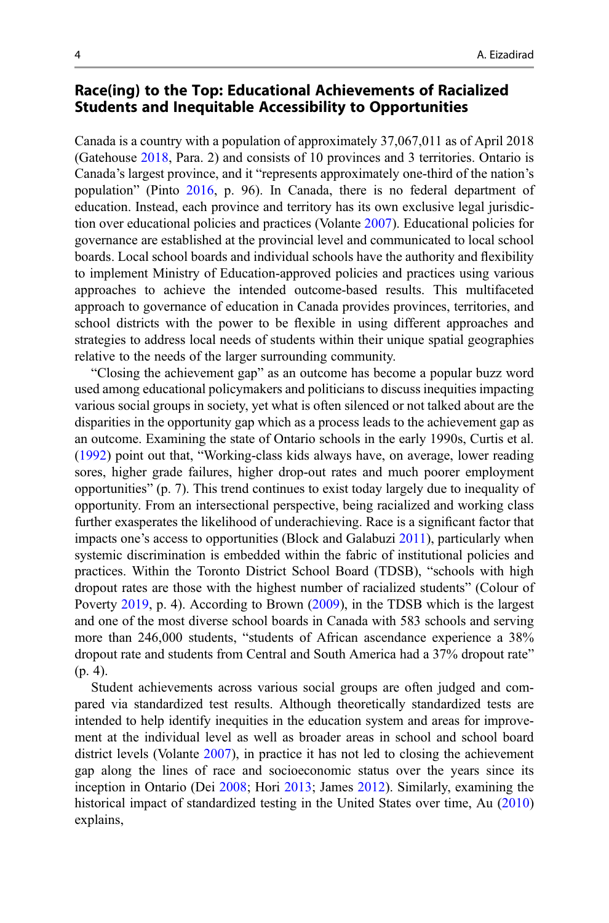# Race(ing) to the Top: Educational Achievements of Racialized Students and Inequitable Accessibility to Opportunities

Canada is a country with a population of approximately 37,067,011 as of April 2018 (Gatehouse [2018,](#page-21-0) Para. 2) and consists of 10 provinces and 3 territories. Ontario is Canada's largest province, and it "represents approximately one-third of the nation's population" (Pinto [2016](#page-22-0), p. 96). In Canada, there is no federal department of education. Instead, each province and territory has its own exclusive legal jurisdiction over educational policies and practices (Volante [2007](#page-22-0)). Educational policies for governance are established at the provincial level and communicated to local school boards. Local school boards and individual schools have the authority and flexibility to implement Ministry of Education-approved policies and practices using various approaches to achieve the intended outcome-based results. This multifaceted approach to governance of education in Canada provides provinces, territories, and school districts with the power to be flexible in using different approaches and strategies to address local needs of students within their unique spatial geographies relative to the needs of the larger surrounding community.

"Closing the achievement gap" as an outcome has become a popular buzz word used among educational policymakers and politicians to discuss inequities impacting various social groups in society, yet what is often silenced or not talked about are the disparities in the opportunity gap which as a process leads to the achievement gap as an outcome. Examining the state of Ontario schools in the early 1990s, Curtis et al. [\(1992](#page-20-0)) point out that, "Working-class kids always have, on average, lower reading sores, higher grade failures, higher drop-out rates and much poorer employment opportunities" (p. 7). This trend continues to exist today largely due to inequality of opportunity. From an intersectional perspective, being racialized and working class further exasperates the likelihood of underachieving. Race is a significant factor that impacts one's access to opportunities (Block and Galabuzi [2011\)](#page-20-0), particularly when systemic discrimination is embedded within the fabric of institutional policies and practices. Within the Toronto District School Board (TDSB), "schools with high dropout rates are those with the highest number of racialized students" (Colour of Poverty [2019](#page-20-0), p. 4). According to Brown [\(2009](#page-20-0)), in the TDSB which is the largest and one of the most diverse school boards in Canada with 583 schools and serving more than 246,000 students, "students of African ascendance experience a 38% dropout rate and students from Central and South America had a 37% dropout rate" (p. 4).

Student achievements across various social groups are often judged and compared via standardized test results. Although theoretically standardized tests are intended to help identify inequities in the education system and areas for improvement at the individual level as well as broader areas in school and school board district levels (Volante [2007](#page-22-0)), in practice it has not led to closing the achievement gap along the lines of race and socioeconomic status over the years since its inception in Ontario (Dei [2008](#page-21-0); Hori [2013](#page-21-0); James [2012](#page-21-0)). Similarly, examining the historical impact of standardized testing in the United States over time, Au [\(2010](#page-20-0)) explains,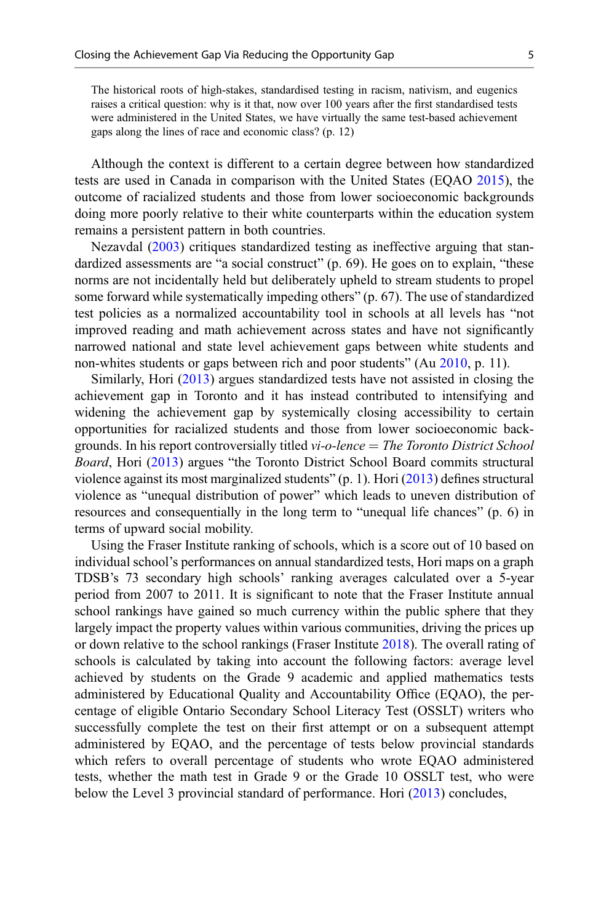The historical roots of high-stakes, standardised testing in racism, nativism, and eugenics raises a critical question: why is it that, now over 100 years after the first standardised tests were administered in the United States, we have virtually the same test-based achievement gaps along the lines of race and economic class? (p. 12)

Although the context is different to a certain degree between how standardized tests are used in Canada in comparison with the United States (EQAO [2015](#page-21-0)), the outcome of racialized students and those from lower socioeconomic backgrounds doing more poorly relative to their white counterparts within the education system remains a persistent pattern in both countries.

Nezavdal ([2003\)](#page-22-0) critiques standardized testing as ineffective arguing that standardized assessments are "a social construct" (p. 69). He goes on to explain, "these norms are not incidentally held but deliberately upheld to stream students to propel some forward while systematically impeding others" (p. 67). The use of standardized test policies as a normalized accountability tool in schools at all levels has "not improved reading and math achievement across states and have not significantly narrowed national and state level achievement gaps between white students and non-whites students or gaps between rich and poor students" (Au [2010](#page-20-0), p. 11).

Similarly, Hori ([2013\)](#page-21-0) argues standardized tests have not assisted in closing the achievement gap in Toronto and it has instead contributed to intensifying and widening the achievement gap by systemically closing accessibility to certain opportunities for racialized students and those from lower socioeconomic backgrounds. In his report controversially titled  $vi-o$ -lence  $=$  The Toronto District School Board, Hori [\(2013](#page-21-0)) argues "the Toronto District School Board commits structural violence against its most marginalized students" (p. 1). Hori [\(2013](#page-21-0)) defines structural violence as "unequal distribution of power" which leads to uneven distribution of resources and consequentially in the long term to "unequal life chances" (p. 6) in terms of upward social mobility.

Using the Fraser Institute ranking of schools, which is a score out of 10 based on individual school's performances on annual standardized tests, Hori maps on a graph TDSB's 73 secondary high schools' ranking averages calculated over a 5-year period from 2007 to 2011. It is significant to note that the Fraser Institute annual school rankings have gained so much currency within the public sphere that they largely impact the property values within various communities, driving the prices up or down relative to the school rankings (Fraser Institute [2018\)](#page-21-0). The overall rating of schools is calculated by taking into account the following factors: average level achieved by students on the Grade 9 academic and applied mathematics tests administered by Educational Quality and Accountability Office (EQAO), the percentage of eligible Ontario Secondary School Literacy Test (OSSLT) writers who successfully complete the test on their first attempt or on a subsequent attempt administered by EQAO, and the percentage of tests below provincial standards which refers to overall percentage of students who wrote EQAO administered tests, whether the math test in Grade 9 or the Grade 10 OSSLT test, who were below the Level 3 provincial standard of performance. Hori [\(2013\)](#page-21-0) concludes,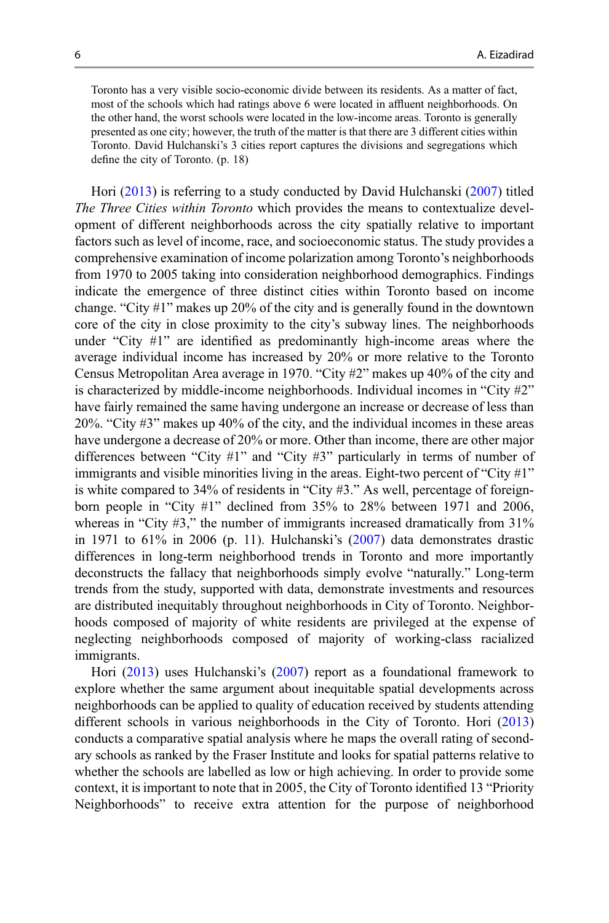Toronto has a very visible socio-economic divide between its residents. As a matter of fact, most of the schools which had ratings above 6 were located in affluent neighborhoods. On the other hand, the worst schools were located in the low-income areas. Toronto is generally presented as one city; however, the truth of the matter is that there are 3 different cities within Toronto. David Hulchanski's 3 cities report captures the divisions and segregations which define the city of Toronto. (p. 18)

Hori ([2013\)](#page-21-0) is referring to a study conducted by David Hulchanski [\(2007](#page-21-0)) titled The Three Cities within Toronto which provides the means to contextualize development of different neighborhoods across the city spatially relative to important factors such as level of income, race, and socioeconomic status. The study provides a comprehensive examination of income polarization among Toronto's neighborhoods from 1970 to 2005 taking into consideration neighborhood demographics. Findings indicate the emergence of three distinct cities within Toronto based on income change. "City #1" makes up 20% of the city and is generally found in the downtown core of the city in close proximity to the city's subway lines. The neighborhoods under "City #1" are identified as predominantly high-income areas where the average individual income has increased by 20% or more relative to the Toronto Census Metropolitan Area average in 1970. "City #2" makes up 40% of the city and is characterized by middle-income neighborhoods. Individual incomes in "City #2" have fairly remained the same having undergone an increase or decrease of less than 20%. "City #3" makes up 40% of the city, and the individual incomes in these areas have undergone a decrease of 20% or more. Other than income, there are other major differences between "City #1" and "City #3" particularly in terms of number of immigrants and visible minorities living in the areas. Eight-two percent of "City #1" is white compared to 34% of residents in "City #3." As well, percentage of foreignborn people in "City #1" declined from 35% to 28% between 1971 and 2006, whereas in "City #3," the number of immigrants increased dramatically from 31% in 1971 to  $61\%$  in 2006 (p. 11). Hulchanski's  $(2007)$  $(2007)$  data demonstrates drastic differences in long-term neighborhood trends in Toronto and more importantly deconstructs the fallacy that neighborhoods simply evolve "naturally." Long-term trends from the study, supported with data, demonstrate investments and resources are distributed inequitably throughout neighborhoods in City of Toronto. Neighborhoods composed of majority of white residents are privileged at the expense of neglecting neighborhoods composed of majority of working-class racialized immigrants.

Hori [\(2013](#page-21-0)) uses Hulchanski's [\(2007](#page-21-0)) report as a foundational framework to explore whether the same argument about inequitable spatial developments across neighborhoods can be applied to quality of education received by students attending different schools in various neighborhoods in the City of Toronto. Hori [\(2013](#page-21-0)) conducts a comparative spatial analysis where he maps the overall rating of secondary schools as ranked by the Fraser Institute and looks for spatial patterns relative to whether the schools are labelled as low or high achieving. In order to provide some context, it is important to note that in 2005, the City of Toronto identified 13 "Priority Neighborhoods" to receive extra attention for the purpose of neighborhood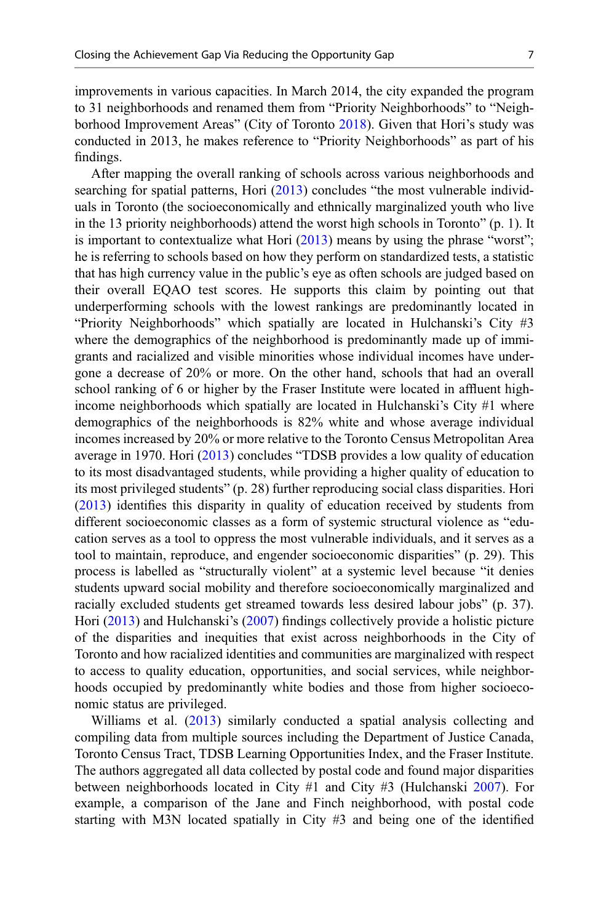improvements in various capacities. In March 2014, the city expanded the program to 31 neighborhoods and renamed them from "Priority Neighborhoods" to "Neighborhood Improvement Areas" (City of Toronto [2018\)](#page-20-0). Given that Hori's study was conducted in 2013, he makes reference to "Priority Neighborhoods" as part of his findings.

After mapping the overall ranking of schools across various neighborhoods and searching for spatial patterns, Hori ([2013\)](#page-21-0) concludes "the most vulnerable individuals in Toronto (the socioeconomically and ethnically marginalized youth who live in the 13 priority neighborhoods) attend the worst high schools in Toronto" (p. 1). It is important to contextualize what Hori ([2013\)](#page-21-0) means by using the phrase "worst"; he is referring to schools based on how they perform on standardized tests, a statistic that has high currency value in the public's eye as often schools are judged based on their overall EQAO test scores. He supports this claim by pointing out that underperforming schools with the lowest rankings are predominantly located in "Priority Neighborhoods" which spatially are located in Hulchanski's City #3 where the demographics of the neighborhood is predominantly made up of immigrants and racialized and visible minorities whose individual incomes have undergone a decrease of 20% or more. On the other hand, schools that had an overall school ranking of 6 or higher by the Fraser Institute were located in affluent highincome neighborhoods which spatially are located in Hulchanski's City #1 where demographics of the neighborhoods is 82% white and whose average individual incomes increased by 20% or more relative to the Toronto Census Metropolitan Area average in 1970. Hori ([2013\)](#page-21-0) concludes "TDSB provides a low quality of education to its most disadvantaged students, while providing a higher quality of education to its most privileged students" (p. 28) further reproducing social class disparities. Hori [\(2013](#page-21-0)) identifies this disparity in quality of education received by students from different socioeconomic classes as a form of systemic structural violence as "education serves as a tool to oppress the most vulnerable individuals, and it serves as a tool to maintain, reproduce, and engender socioeconomic disparities" (p. 29). This process is labelled as "structurally violent" at a systemic level because "it denies students upward social mobility and therefore socioeconomically marginalized and racially excluded students get streamed towards less desired labour jobs" (p. 37). Hori ([2013\)](#page-21-0) and Hulchanski's ([2007\)](#page-21-0) findings collectively provide a holistic picture of the disparities and inequities that exist across neighborhoods in the City of Toronto and how racialized identities and communities are marginalized with respect to access to quality education, opportunities, and social services, while neighborhoods occupied by predominantly white bodies and those from higher socioeconomic status are privileged.

Williams et al. [\(2013](#page-22-0)) similarly conducted a spatial analysis collecting and compiling data from multiple sources including the Department of Justice Canada, Toronto Census Tract, TDSB Learning Opportunities Index, and the Fraser Institute. The authors aggregated all data collected by postal code and found major disparities between neighborhoods located in City #1 and City #3 (Hulchanski [2007\)](#page-21-0). For example, a comparison of the Jane and Finch neighborhood, with postal code starting with M3N located spatially in City #3 and being one of the identified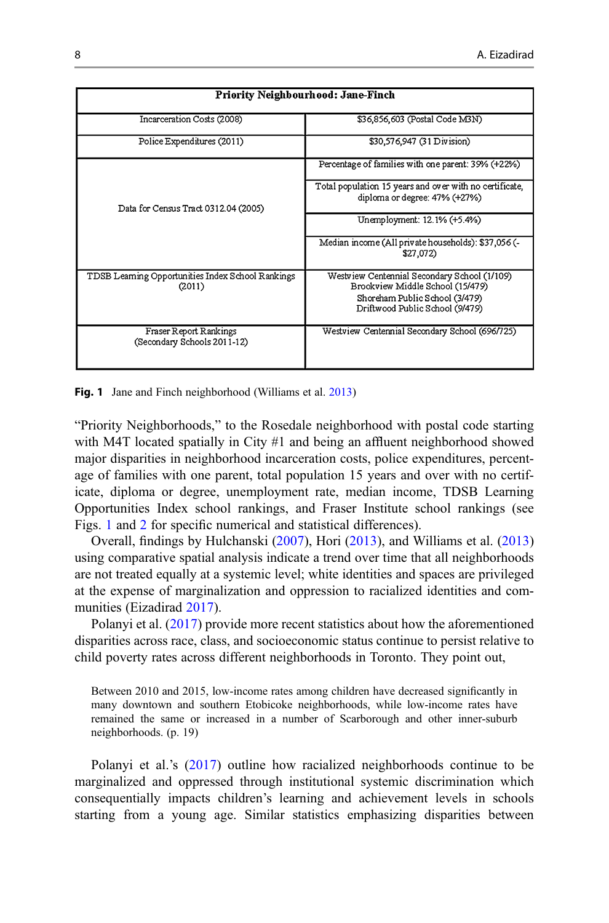| Priority Neighbourhood: Jane-Finch                          |                                                                                          |  |
|-------------------------------------------------------------|------------------------------------------------------------------------------------------|--|
| Incarceration Costs (2008)                                  | \$36,856,603 (Postal Code M3N)                                                           |  |
| Police Expenditures (2011)                                  | \$30,576,947 (31 Division)                                                               |  |
| Data for Census Tract 0312.04 (2005)                        | Percentage of families with one parent: 39% (+22%)                                       |  |
|                                                             | Total population 15 years and over with no certificate,<br>diploma or degree: 47% (+27%) |  |
|                                                             | Unemployment: 12.1% (+5.4%)                                                              |  |
|                                                             | Median income (All private households): \$37,056 (-<br>\$27,072)                         |  |
| TDSB Learning Opportunities Index School Rankings<br>(2011) | Westview Centennial Secondary School (1/109)<br>Brookview Middle School (15/479)         |  |
|                                                             | Shoreham Public School (3/479)<br>Driftwood Public School (9/479)                        |  |
| Fraser Report Rankings<br>(Secondary Schools 2011-12)       | Westview Centennial Secondary School (696/725)                                           |  |

Fig. 1 Jane and Finch neighborhood (Williams et al. [2013](#page-22-0))

"Priority Neighborhoods," to the Rosedale neighborhood with postal code starting with M4T located spatially in City #1 and being an affluent neighborhood showed major disparities in neighborhood incarceration costs, police expenditures, percentage of families with one parent, total population 15 years and over with no certificate, diploma or degree, unemployment rate, median income, TDSB Learning Opportunities Index school rankings, and Fraser Institute school rankings (see Figs. 1 and [2](#page-8-0) for specific numerical and statistical differences).

Overall, findings by Hulchanski ([2007\)](#page-21-0), Hori [\(2013](#page-21-0)), and Williams et al. [\(2013](#page-22-0)) using comparative spatial analysis indicate a trend over time that all neighborhoods are not treated equally at a systemic level; white identities and spaces are privileged at the expense of marginalization and oppression to racialized identities and communities (Eizadirad [2017](#page-21-0)).

Polanyi et al. ([2017\)](#page-22-0) provide more recent statistics about how the aforementioned disparities across race, class, and socioeconomic status continue to persist relative to child poverty rates across different neighborhoods in Toronto. They point out,

Between 2010 and 2015, low-income rates among children have decreased significantly in many downtown and southern Etobicoke neighborhoods, while low-income rates have remained the same or increased in a number of Scarborough and other inner-suburb neighborhoods. (p. 19)

Polanyi et al.'s ([2017](#page-22-0)) outline how racialized neighborhoods continue to be marginalized and oppressed through institutional systemic discrimination which consequentially impacts children's learning and achievement levels in schools starting from a young age. Similar statistics emphasizing disparities between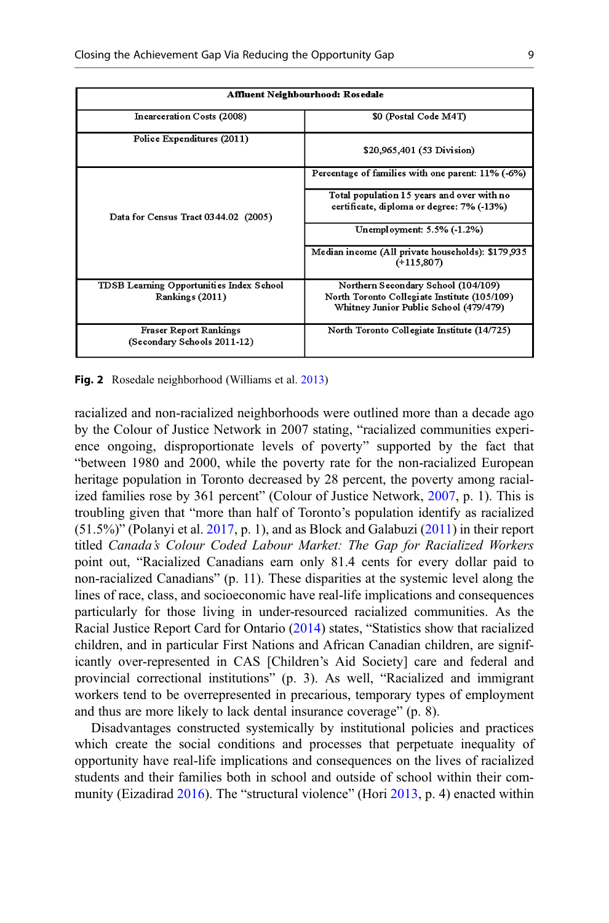<span id="page-8-0"></span>

| Affluent Neighbourhood: Rosedale                             |                                                                                                                               |  |
|--------------------------------------------------------------|-------------------------------------------------------------------------------------------------------------------------------|--|
| Incarceration Costs (2008)                                   | \$0 (Postal Code M4T)                                                                                                         |  |
| Police Expenditures (2011)                                   | \$20,965,401 (53 Division)                                                                                                    |  |
| Data for Census Tract 0344.02 (2005)                         | Percentage of families with one parent: 11% (-6%)                                                                             |  |
|                                                              | Total population 15 years and over with no<br>certificate, diploma or degree: 7% (-13%)                                       |  |
|                                                              | Unemployment: 5.5% (-1.2%)                                                                                                    |  |
|                                                              | Median income (All private households): \$179.935<br>$(+115,807)$                                                             |  |
| TDSB Learning Opportunities Index School<br>Rankings (2011)  | Northern Secondary School (104/109)<br>North Toronto Collegiate Institute (105/109)<br>Whitney Junior Public School (479/479) |  |
| <b>Fraser Report Rankings</b><br>(Secondary Schools 2011-12) | North Toronto Collegiate Institute (14/725)                                                                                   |  |

Fig. 2 Rosedale neighborhood (Williams et al. [2013](#page-22-0))

racialized and non-racialized neighborhoods were outlined more than a decade ago by the Colour of Justice Network in 2007 stating, "racialized communities experience ongoing, disproportionate levels of poverty" supported by the fact that "between 1980 and 2000, while the poverty rate for the non-racialized European heritage population in Toronto decreased by 28 percent, the poverty among racialized families rose by 361 percent" (Colour of Justice Network, [2007,](#page-20-0) p. 1). This is troubling given that "more than half of Toronto's population identify as racialized  $(51.5\%)$ " (Polanyi et al. [2017](#page-22-0), p. 1), and as Block and Galabuzi ([2011\)](#page-20-0) in their report titled Canada's Colour Coded Labour Market: The Gap for Racialized Workers point out, "Racialized Canadians earn only 81.4 cents for every dollar paid to non-racialized Canadians" (p. 11). These disparities at the systemic level along the lines of race, class, and socioeconomic have real-life implications and consequences particularly for those living in under-resourced racialized communities. As the Racial Justice Report Card for Ontario ([2014\)](#page-22-0) states, "Statistics show that racialized children, and in particular First Nations and African Canadian children, are significantly over-represented in CAS [Children's Aid Society] care and federal and provincial correctional institutions" (p. 3). As well, "Racialized and immigrant workers tend to be overrepresented in precarious, temporary types of employment and thus are more likely to lack dental insurance coverage" (p. 8).

Disadvantages constructed systemically by institutional policies and practices which create the social conditions and processes that perpetuate inequality of opportunity have real-life implications and consequences on the lives of racialized students and their families both in school and outside of school within their community (Eizadirad [2016\)](#page-21-0). The "structural violence" (Hori [2013,](#page-21-0) p. 4) enacted within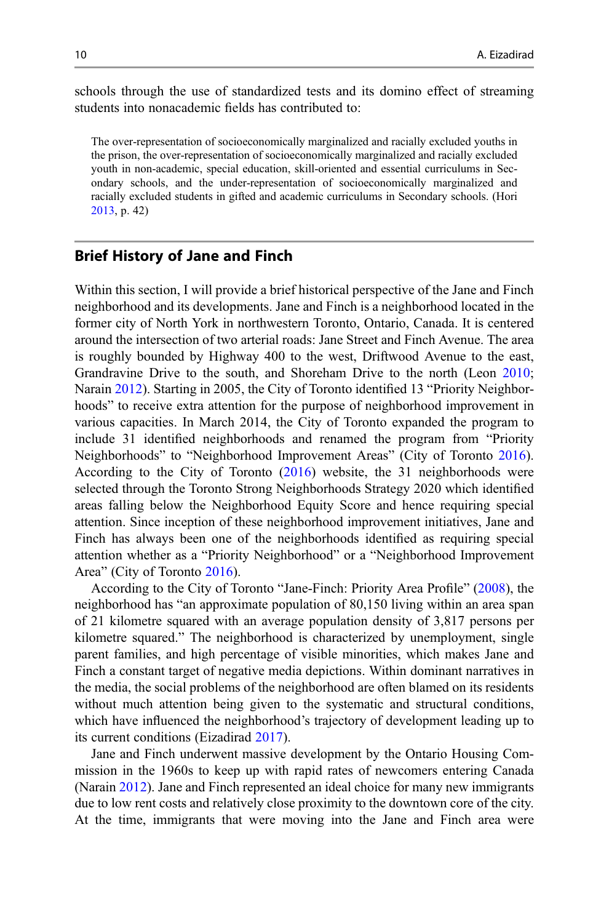schools through the use of standardized tests and its domino effect of streaming students into nonacademic fields has contributed to:

The over-representation of socioeconomically marginalized and racially excluded youths in the prison, the over-representation of socioeconomically marginalized and racially excluded youth in non-academic, special education, skill-oriented and essential curriculums in Secondary schools, and the under-representation of socioeconomically marginalized and racially excluded students in gifted and academic curriculums in Secondary schools. (Hori [2013,](#page-21-0) p. 42)

#### Brief History of Jane and Finch

Within this section, I will provide a brief historical perspective of the Jane and Finch neighborhood and its developments. Jane and Finch is a neighborhood located in the former city of North York in northwestern Toronto, Ontario, Canada. It is centered around the intersection of two arterial roads: Jane Street and Finch Avenue. The area is roughly bounded by Highway 400 to the west, Driftwood Avenue to the east, Grandravine Drive to the south, and Shoreham Drive to the north (Leon [2010;](#page-21-0) Narain [2012\)](#page-21-0). Starting in 2005, the City of Toronto identified 13 "Priority Neighborhoods" to receive extra attention for the purpose of neighborhood improvement in various capacities. In March 2014, the City of Toronto expanded the program to include 31 identified neighborhoods and renamed the program from "Priority Neighborhoods" to "Neighborhood Improvement Areas" (City of Toronto [2016\)](#page-20-0). According to the City of Toronto ([2016\)](#page-20-0) website, the 31 neighborhoods were selected through the Toronto Strong Neighborhoods Strategy 2020 which identified areas falling below the Neighborhood Equity Score and hence requiring special attention. Since inception of these neighborhood improvement initiatives, Jane and Finch has always been one of the neighborhoods identified as requiring special attention whether as a "Priority Neighborhood" or a "Neighborhood Improvement Area" (City of Toronto [2016](#page-20-0)).

According to the City of Toronto "Jane-Finch: Priority Area Profile" [\(2008\)](#page-20-0), the neighborhood has "an approximate population of 80,150 living within an area span of 21 kilometre squared with an average population density of 3,817 persons per kilometre squared." The neighborhood is characterized by unemployment, single parent families, and high percentage of visible minorities, which makes Jane and Finch a constant target of negative media depictions. Within dominant narratives in the media, the social problems of the neighborhood are often blamed on its residents without much attention being given to the systematic and structural conditions, which have influenced the neighborhood's trajectory of development leading up to its current conditions (Eizadirad [2017](#page-21-0)).

Jane and Finch underwent massive development by the Ontario Housing Commission in the 1960s to keep up with rapid rates of newcomers entering Canada (Narain [2012](#page-21-0)). Jane and Finch represented an ideal choice for many new immigrants due to low rent costs and relatively close proximity to the downtown core of the city. At the time, immigrants that were moving into the Jane and Finch area were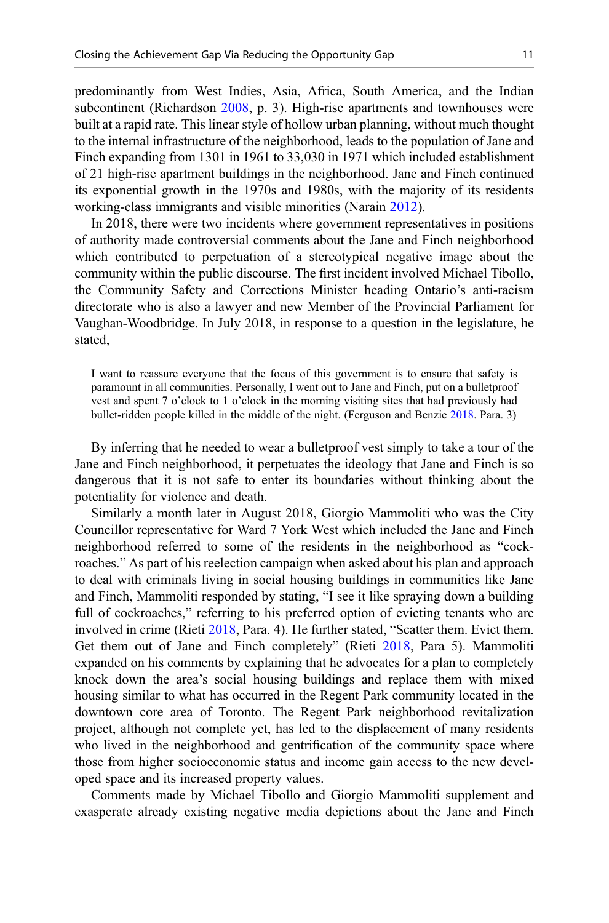predominantly from West Indies, Asia, Africa, South America, and the Indian subcontinent (Richardson [2008,](#page-22-0) p. 3). High-rise apartments and townhouses were built at a rapid rate. This linear style of hollow urban planning, without much thought to the internal infrastructure of the neighborhood, leads to the population of Jane and Finch expanding from 1301 in 1961 to 33,030 in 1971 which included establishment of 21 high-rise apartment buildings in the neighborhood. Jane and Finch continued its exponential growth in the 1970s and 1980s, with the majority of its residents working-class immigrants and visible minorities (Narain [2012\)](#page-21-0).

In 2018, there were two incidents where government representatives in positions of authority made controversial comments about the Jane and Finch neighborhood which contributed to perpetuation of a stereotypical negative image about the community within the public discourse. The first incident involved Michael Tibollo, the Community Safety and Corrections Minister heading Ontario's anti-racism directorate who is also a lawyer and new Member of the Provincial Parliament for Vaughan-Woodbridge. In July 2018, in response to a question in the legislature, he stated,

I want to reassure everyone that the focus of this government is to ensure that safety is paramount in all communities. Personally, I went out to Jane and Finch, put on a bulletproof vest and spent 7 o'clock to 1 o'clock in the morning visiting sites that had previously had bullet-ridden people killed in the middle of the night. (Ferguson and Benzie [2018](#page-21-0). Para. 3)

By inferring that he needed to wear a bulletproof vest simply to take a tour of the Jane and Finch neighborhood, it perpetuates the ideology that Jane and Finch is so dangerous that it is not safe to enter its boundaries without thinking about the potentiality for violence and death.

Similarly a month later in August 2018, Giorgio Mammoliti who was the City Councillor representative for Ward 7 York West which included the Jane and Finch neighborhood referred to some of the residents in the neighborhood as "cockroaches." As part of his reelection campaign when asked about his plan and approach to deal with criminals living in social housing buildings in communities like Jane and Finch, Mammoliti responded by stating, "I see it like spraying down a building full of cockroaches," referring to his preferred option of evicting tenants who are involved in crime (Rieti [2018](#page-22-0), Para. 4). He further stated, "Scatter them. Evict them. Get them out of Jane and Finch completely" (Rieti [2018](#page-22-0), Para 5). Mammoliti expanded on his comments by explaining that he advocates for a plan to completely knock down the area's social housing buildings and replace them with mixed housing similar to what has occurred in the Regent Park community located in the downtown core area of Toronto. The Regent Park neighborhood revitalization project, although not complete yet, has led to the displacement of many residents who lived in the neighborhood and gentrification of the community space where those from higher socioeconomic status and income gain access to the new developed space and its increased property values.

Comments made by Michael Tibollo and Giorgio Mammoliti supplement and exasperate already existing negative media depictions about the Jane and Finch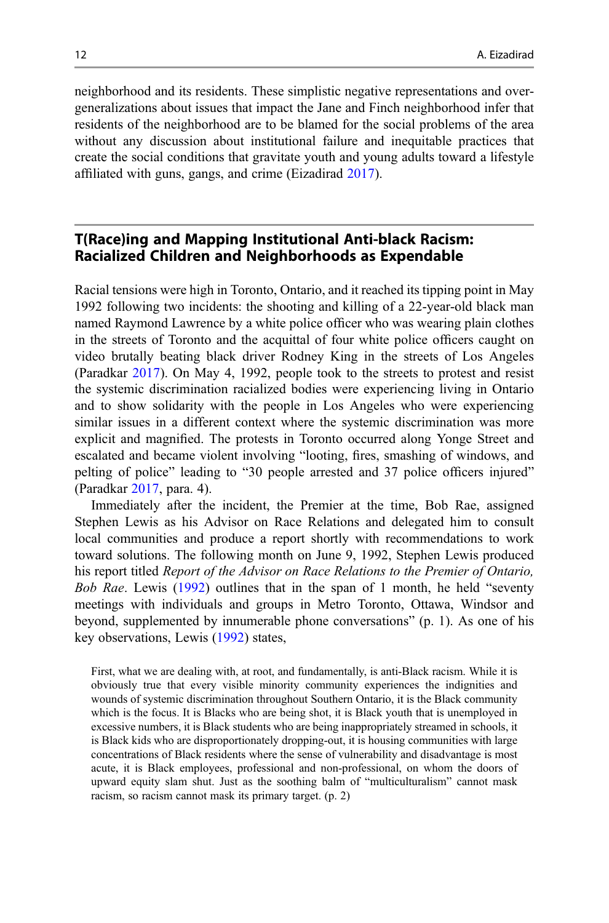neighborhood and its residents. These simplistic negative representations and overgeneralizations about issues that impact the Jane and Finch neighborhood infer that residents of the neighborhood are to be blamed for the social problems of the area without any discussion about institutional failure and inequitable practices that create the social conditions that gravitate youth and young adults toward a lifestyle affiliated with guns, gangs, and crime (Eizadirad [2017\)](#page-21-0).

# T(Race)ing and Mapping Institutional Anti-black Racism: Racialized Children and Neighborhoods as Expendable

Racial tensions were high in Toronto, Ontario, and it reached its tipping point in May 1992 following two incidents: the shooting and killing of a 22-year-old black man named Raymond Lawrence by a white police officer who was wearing plain clothes in the streets of Toronto and the acquittal of four white police officers caught on video brutally beating black driver Rodney King in the streets of Los Angeles (Paradkar [2017\)](#page-22-0). On May 4, 1992, people took to the streets to protest and resist the systemic discrimination racialized bodies were experiencing living in Ontario and to show solidarity with the people in Los Angeles who were experiencing similar issues in a different context where the systemic discrimination was more explicit and magnified. The protests in Toronto occurred along Yonge Street and escalated and became violent involving "looting, fires, smashing of windows, and pelting of police" leading to "30 people arrested and 37 police officers injured" (Paradkar [2017,](#page-22-0) para. 4).

Immediately after the incident, the Premier at the time, Bob Rae, assigned Stephen Lewis as his Advisor on Race Relations and delegated him to consult local communities and produce a report shortly with recommendations to work toward solutions. The following month on June 9, 1992, Stephen Lewis produced his report titled Report of the Advisor on Race Relations to the Premier of Ontario, Bob Rae. Lewis [\(1992](#page-21-0)) outlines that in the span of 1 month, he held "seventy meetings with individuals and groups in Metro Toronto, Ottawa, Windsor and beyond, supplemented by innumerable phone conversations" (p. 1). As one of his key observations, Lewis [\(1992](#page-21-0)) states,

First, what we are dealing with, at root, and fundamentally, is anti-Black racism. While it is obviously true that every visible minority community experiences the indignities and wounds of systemic discrimination throughout Southern Ontario, it is the Black community which is the focus. It is Blacks who are being shot, it is Black youth that is unemployed in excessive numbers, it is Black students who are being inappropriately streamed in schools, it is Black kids who are disproportionately dropping-out, it is housing communities with large concentrations of Black residents where the sense of vulnerability and disadvantage is most acute, it is Black employees, professional and non-professional, on whom the doors of upward equity slam shut. Just as the soothing balm of "multiculturalism" cannot mask racism, so racism cannot mask its primary target. (p. 2)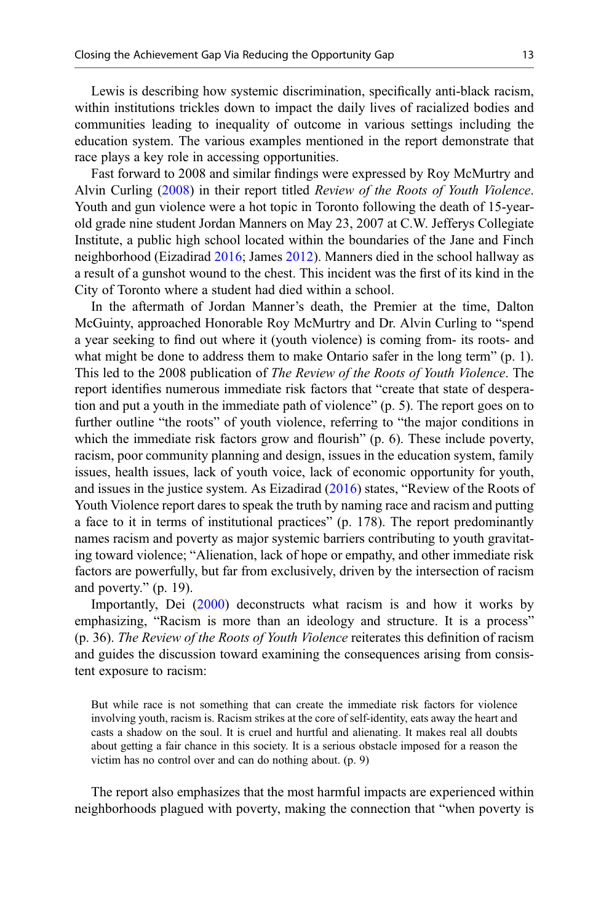Lewis is describing how systemic discrimination, specifically anti-black racism, within institutions trickles down to impact the daily lives of racialized bodies and communities leading to inequality of outcome in various settings including the education system. The various examples mentioned in the report demonstrate that race plays a key role in accessing opportunities.

Fast forward to 2008 and similar findings were expressed by Roy McMurtry and Alvin Curling ([2008\)](#page-21-0) in their report titled Review of the Roots of Youth Violence. Youth and gun violence were a hot topic in Toronto following the death of 15-yearold grade nine student Jordan Manners on May 23, 2007 at C.W. Jefferys Collegiate Institute, a public high school located within the boundaries of the Jane and Finch neighborhood (Eizadirad [2016;](#page-21-0) James [2012](#page-21-0)). Manners died in the school hallway as a result of a gunshot wound to the chest. This incident was the first of its kind in the City of Toronto where a student had died within a school.

In the aftermath of Jordan Manner's death, the Premier at the time, Dalton McGuinty, approached Honorable Roy McMurtry and Dr. Alvin Curling to "spend a year seeking to find out where it (youth violence) is coming from- its roots- and what might be done to address them to make Ontario safer in the long term" (p. 1). This led to the 2008 publication of The Review of the Roots of Youth Violence. The report identifies numerous immediate risk factors that "create that state of desperation and put a youth in the immediate path of violence" (p. 5). The report goes on to further outline "the roots" of youth violence, referring to "the major conditions in which the immediate risk factors grow and flourish" (p. 6). These include poverty, racism, poor community planning and design, issues in the education system, family issues, health issues, lack of youth voice, lack of economic opportunity for youth, and issues in the justice system. As Eizadirad ([2016\)](#page-21-0) states, "Review of the Roots of Youth Violence report dares to speak the truth by naming race and racism and putting a face to it in terms of institutional practices" (p. 178). The report predominantly names racism and poverty as major systemic barriers contributing to youth gravitating toward violence; "Alienation, lack of hope or empathy, and other immediate risk factors are powerfully, but far from exclusively, driven by the intersection of racism and poverty." (p. 19).

Importantly, Dei [\(2000](#page-20-0)) deconstructs what racism is and how it works by emphasizing, "Racism is more than an ideology and structure. It is a process" (p. 36). The Review of the Roots of Youth Violence reiterates this definition of racism and guides the discussion toward examining the consequences arising from consistent exposure to racism:

But while race is not something that can create the immediate risk factors for violence involving youth, racism is. Racism strikes at the core of self-identity, eats away the heart and casts a shadow on the soul. It is cruel and hurtful and alienating. It makes real all doubts about getting a fair chance in this society. It is a serious obstacle imposed for a reason the victim has no control over and can do nothing about. (p. 9)

The report also emphasizes that the most harmful impacts are experienced within neighborhoods plagued with poverty, making the connection that "when poverty is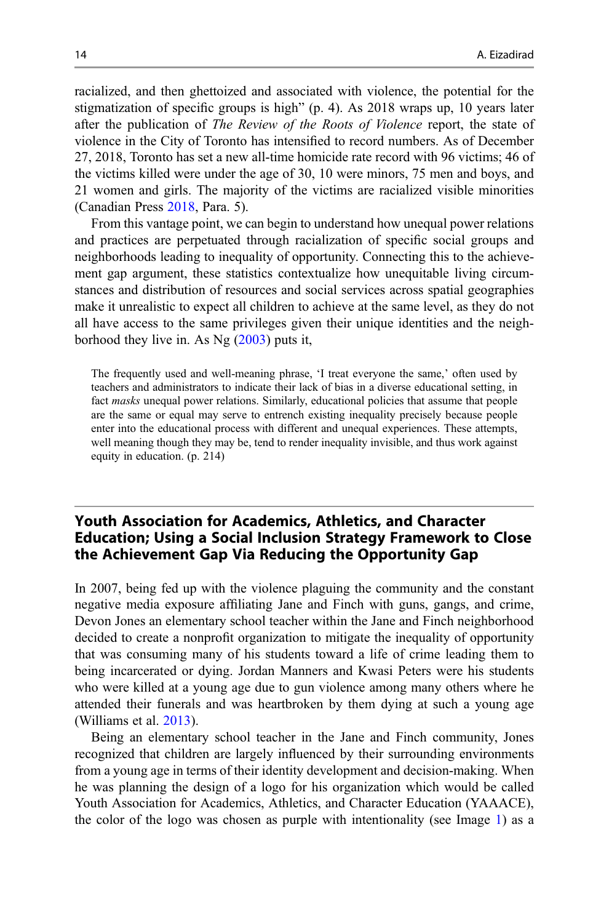racialized, and then ghettoized and associated with violence, the potential for the stigmatization of specific groups is high" (p. 4). As 2018 wraps up, 10 years later after the publication of *The Review of the Roots of Violence* report, the state of violence in the City of Toronto has intensified to record numbers. As of December 27, 2018, Toronto has set a new all-time homicide rate record with 96 victims; 46 of the victims killed were under the age of 30, 10 were minors, 75 men and boys, and 21 women and girls. The majority of the victims are racialized visible minorities (Canadian Press [2018,](#page-20-0) Para. 5).

From this vantage point, we can begin to understand how unequal power relations and practices are perpetuated through racialization of specific social groups and neighborhoods leading to inequality of opportunity. Connecting this to the achievement gap argument, these statistics contextualize how unequitable living circumstances and distribution of resources and social services across spatial geographies make it unrealistic to expect all children to achieve at the same level, as they do not all have access to the same privileges given their unique identities and the neighborhood they live in. As Ng [\(2003](#page-22-0)) puts it,

The frequently used and well-meaning phrase, 'I treat everyone the same,' often used by teachers and administrators to indicate their lack of bias in a diverse educational setting, in fact masks unequal power relations. Similarly, educational policies that assume that people are the same or equal may serve to entrench existing inequality precisely because people enter into the educational process with different and unequal experiences. These attempts, well meaning though they may be, tend to render inequality invisible, and thus work against equity in education. (p. 214)

# Youth Association for Academics, Athletics, and Character Education; Using a Social Inclusion Strategy Framework to Close the Achievement Gap Via Reducing the Opportunity Gap

In 2007, being fed up with the violence plaguing the community and the constant negative media exposure affiliating Jane and Finch with guns, gangs, and crime, Devon Jones an elementary school teacher within the Jane and Finch neighborhood decided to create a nonprofit organization to mitigate the inequality of opportunity that was consuming many of his students toward a life of crime leading them to being incarcerated or dying. Jordan Manners and Kwasi Peters were his students who were killed at a young age due to gun violence among many others where he attended their funerals and was heartbroken by them dying at such a young age (Williams et al. [2013\)](#page-22-0).

Being an elementary school teacher in the Jane and Finch community, Jones recognized that children are largely influenced by their surrounding environments from a young age in terms of their identity development and decision-making. When he was planning the design of a logo for his organization which would be called Youth Association for Academics, Athletics, and Character Education (YAAACE), the color of the logo was chosen as purple with intentionality (see Image [1\)](#page-14-0) as a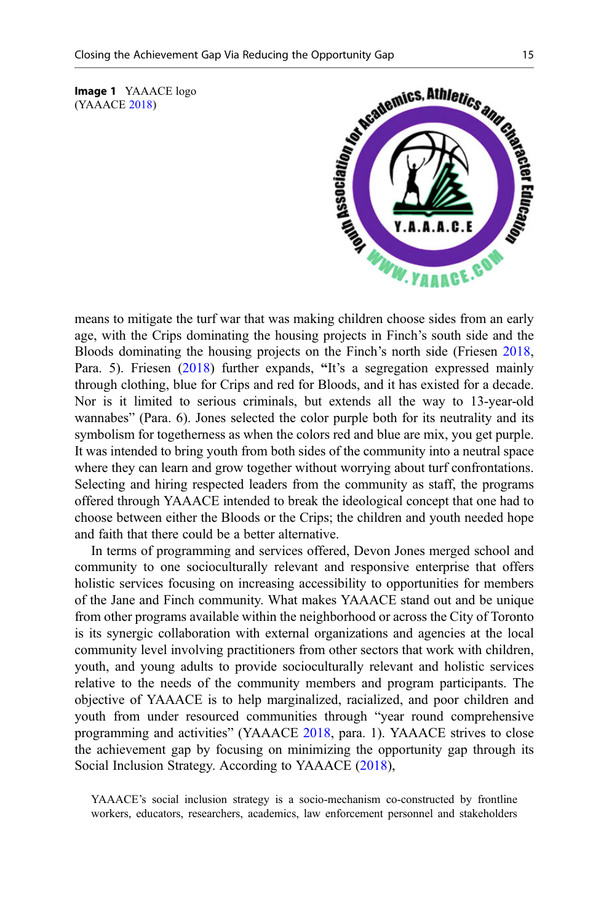

<span id="page-14-0"></span>

means to mitigate the turf war that was making children choose sides from an early age, with the Crips dominating the housing projects in Finch's south side and the Bloods dominating the housing projects on the Finch's north side (Friesen [2018](#page-21-0), Para. 5). Friesen ([2018\)](#page-21-0) further expands, "It's a segregation expressed mainly through clothing, blue for Crips and red for Bloods, and it has existed for a decade. Nor is it limited to serious criminals, but extends all the way to 13-year-old wannabes" (Para. 6). Jones selected the color purple both for its neutrality and its symbolism for togetherness as when the colors red and blue are mix, you get purple. It was intended to bring youth from both sides of the community into a neutral space where they can learn and grow together without worrying about turf confrontations. Selecting and hiring respected leaders from the community as staff, the programs offered through YAAACE intended to break the ideological concept that one had to choose between either the Bloods or the Crips; the children and youth needed hope and faith that there could be a better alternative.

In terms of programming and services offered, Devon Jones merged school and community to one socioculturally relevant and responsive enterprise that offers holistic services focusing on increasing accessibility to opportunities for members of the Jane and Finch community. What makes YAAACE stand out and be unique from other programs available within the neighborhood or across the City of Toronto is its synergic collaboration with external organizations and agencies at the local community level involving practitioners from other sectors that work with children, youth, and young adults to provide socioculturally relevant and holistic services relative to the needs of the community members and program participants. The objective of YAAACE is to help marginalized, racialized, and poor children and youth from under resourced communities through "year round comprehensive programming and activities" (YAAACE [2018,](#page-22-0) para. 1). YAAACE strives to close the achievement gap by focusing on minimizing the opportunity gap through its Social Inclusion Strategy. According to YAAACE ([2018\)](#page-22-0),

YAAACE's social inclusion strategy is a socio-mechanism co-constructed by frontline workers, educators, researchers, academics, law enforcement personnel and stakeholders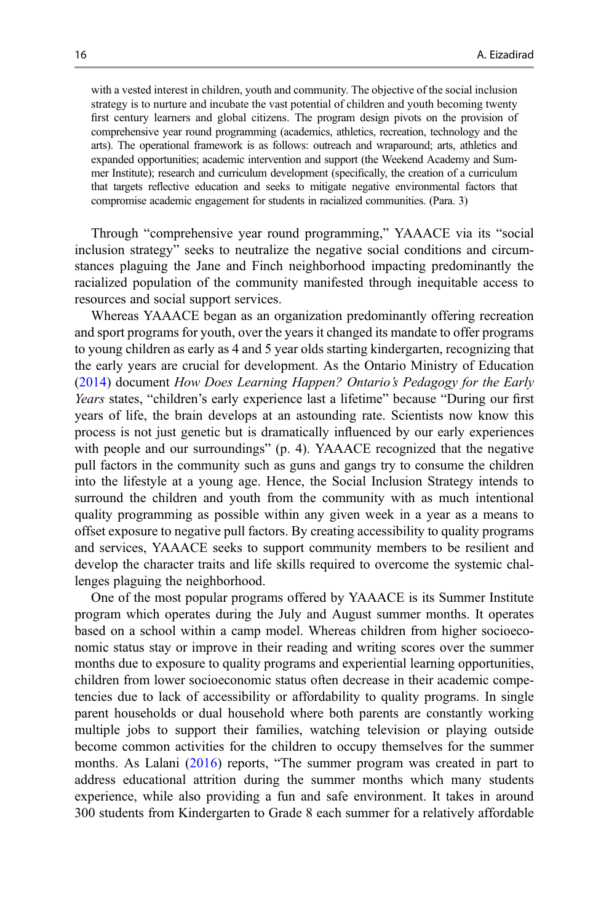with a vested interest in children, youth and community. The objective of the social inclusion strategy is to nurture and incubate the vast potential of children and youth becoming twenty first century learners and global citizens. The program design pivots on the provision of comprehensive year round programming (academics, athletics, recreation, technology and the arts). The operational framework is as follows: outreach and wraparound; arts, athletics and expanded opportunities; academic intervention and support (the Weekend Academy and Summer Institute); research and curriculum development (specifically, the creation of a curriculum that targets reflective education and seeks to mitigate negative environmental factors that compromise academic engagement for students in racialized communities. (Para. 3)

Through "comprehensive year round programming," YAAACE via its "social inclusion strategy" seeks to neutralize the negative social conditions and circumstances plaguing the Jane and Finch neighborhood impacting predominantly the racialized population of the community manifested through inequitable access to resources and social support services.

Whereas YAAACE began as an organization predominantly offering recreation and sport programs for youth, over the years it changed its mandate to offer programs to young children as early as 4 and 5 year olds starting kindergarten, recognizing that the early years are crucial for development. As the Ontario Ministry of Education [\(2014](#page-22-0)) document How Does Learning Happen? Ontario's Pedagogy for the Early Years states, "children's early experience last a lifetime" because "During our first years of life, the brain develops at an astounding rate. Scientists now know this process is not just genetic but is dramatically influenced by our early experiences with people and our surroundings" (p. 4). YAAACE recognized that the negative pull factors in the community such as guns and gangs try to consume the children into the lifestyle at a young age. Hence, the Social Inclusion Strategy intends to surround the children and youth from the community with as much intentional quality programming as possible within any given week in a year as a means to offset exposure to negative pull factors. By creating accessibility to quality programs and services, YAAACE seeks to support community members to be resilient and develop the character traits and life skills required to overcome the systemic challenges plaguing the neighborhood.

One of the most popular programs offered by YAAACE is its Summer Institute program which operates during the July and August summer months. It operates based on a school within a camp model. Whereas children from higher socioeconomic status stay or improve in their reading and writing scores over the summer months due to exposure to quality programs and experiential learning opportunities, children from lower socioeconomic status often decrease in their academic competencies due to lack of accessibility or affordability to quality programs. In single parent households or dual household where both parents are constantly working multiple jobs to support their families, watching television or playing outside become common activities for the children to occupy themselves for the summer months. As Lalani ([2016\)](#page-21-0) reports, "The summer program was created in part to address educational attrition during the summer months which many students experience, while also providing a fun and safe environment. It takes in around 300 students from Kindergarten to Grade 8 each summer for a relatively affordable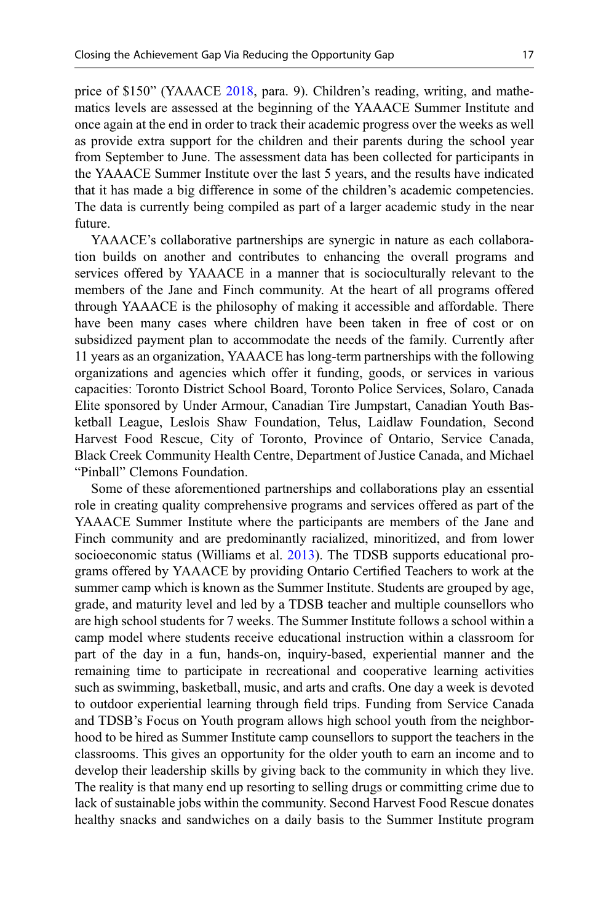price of \$150" (YAAACE [2018](#page-22-0), para. 9). Children's reading, writing, and mathematics levels are assessed at the beginning of the YAAACE Summer Institute and once again at the end in order to track their academic progress over the weeks as well as provide extra support for the children and their parents during the school year from September to June. The assessment data has been collected for participants in the YAAACE Summer Institute over the last 5 years, and the results have indicated that it has made a big difference in some of the children's academic competencies. The data is currently being compiled as part of a larger academic study in the near future.

YAAACE's collaborative partnerships are synergic in nature as each collaboration builds on another and contributes to enhancing the overall programs and services offered by YAAACE in a manner that is socioculturally relevant to the members of the Jane and Finch community. At the heart of all programs offered through YAAACE is the philosophy of making it accessible and affordable. There have been many cases where children have been taken in free of cost or on subsidized payment plan to accommodate the needs of the family. Currently after 11 years as an organization, YAAACE has long-term partnerships with the following organizations and agencies which offer it funding, goods, or services in various capacities: Toronto District School Board, Toronto Police Services, Solaro, Canada Elite sponsored by Under Armour, Canadian Tire Jumpstart, Canadian Youth Basketball League, Leslois Shaw Foundation, Telus, Laidlaw Foundation, Second Harvest Food Rescue, City of Toronto, Province of Ontario, Service Canada, Black Creek Community Health Centre, Department of Justice Canada, and Michael "Pinball" Clemons Foundation.

Some of these aforementioned partnerships and collaborations play an essential role in creating quality comprehensive programs and services offered as part of the YAAACE Summer Institute where the participants are members of the Jane and Finch community and are predominantly racialized, minoritized, and from lower socioeconomic status (Williams et al. [2013](#page-22-0)). The TDSB supports educational programs offered by YAAACE by providing Ontario Certified Teachers to work at the summer camp which is known as the Summer Institute. Students are grouped by age, grade, and maturity level and led by a TDSB teacher and multiple counsellors who are high school students for 7 weeks. The Summer Institute follows a school within a camp model where students receive educational instruction within a classroom for part of the day in a fun, hands-on, inquiry-based, experiential manner and the remaining time to participate in recreational and cooperative learning activities such as swimming, basketball, music, and arts and crafts. One day a week is devoted to outdoor experiential learning through field trips. Funding from Service Canada and TDSB's Focus on Youth program allows high school youth from the neighborhood to be hired as Summer Institute camp counsellors to support the teachers in the classrooms. This gives an opportunity for the older youth to earn an income and to develop their leadership skills by giving back to the community in which they live. The reality is that many end up resorting to selling drugs or committing crime due to lack of sustainable jobs within the community. Second Harvest Food Rescue donates healthy snacks and sandwiches on a daily basis to the Summer Institute program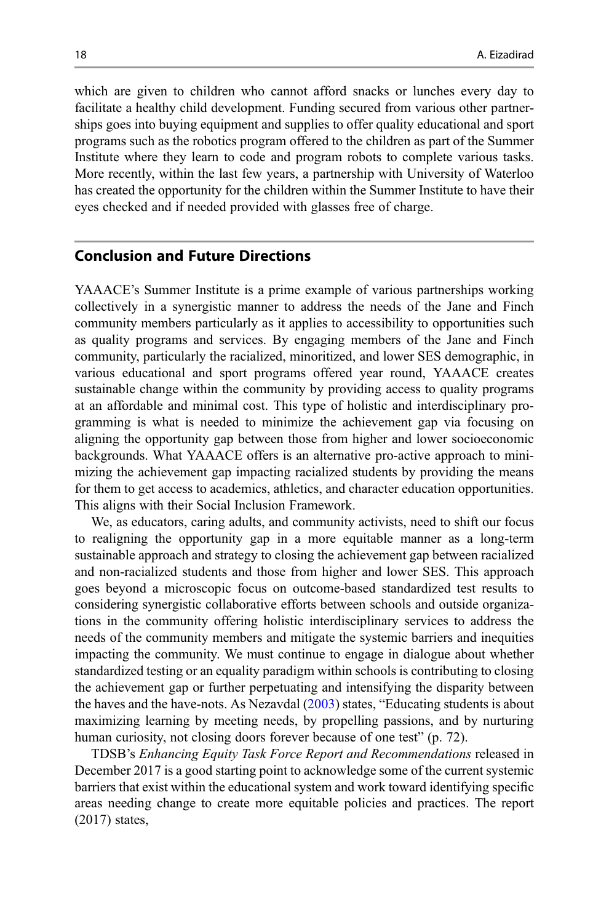which are given to children who cannot afford snacks or lunches every day to facilitate a healthy child development. Funding secured from various other partnerships goes into buying equipment and supplies to offer quality educational and sport programs such as the robotics program offered to the children as part of the Summer Institute where they learn to code and program robots to complete various tasks. More recently, within the last few years, a partnership with University of Waterloo has created the opportunity for the children within the Summer Institute to have their eyes checked and if needed provided with glasses free of charge.

## Conclusion and Future Directions

YAAACE's Summer Institute is a prime example of various partnerships working collectively in a synergistic manner to address the needs of the Jane and Finch community members particularly as it applies to accessibility to opportunities such as quality programs and services. By engaging members of the Jane and Finch community, particularly the racialized, minoritized, and lower SES demographic, in various educational and sport programs offered year round, YAAACE creates sustainable change within the community by providing access to quality programs at an affordable and minimal cost. This type of holistic and interdisciplinary programming is what is needed to minimize the achievement gap via focusing on aligning the opportunity gap between those from higher and lower socioeconomic backgrounds. What YAAACE offers is an alternative pro-active approach to minimizing the achievement gap impacting racialized students by providing the means for them to get access to academics, athletics, and character education opportunities. This aligns with their Social Inclusion Framework.

We, as educators, caring adults, and community activists, need to shift our focus to realigning the opportunity gap in a more equitable manner as a long-term sustainable approach and strategy to closing the achievement gap between racialized and non-racialized students and those from higher and lower SES. This approach goes beyond a microscopic focus on outcome-based standardized test results to considering synergistic collaborative efforts between schools and outside organizations in the community offering holistic interdisciplinary services to address the needs of the community members and mitigate the systemic barriers and inequities impacting the community. We must continue to engage in dialogue about whether standardized testing or an equality paradigm within schools is contributing to closing the achievement gap or further perpetuating and intensifying the disparity between the haves and the have-nots. As Nezavdal [\(2003](#page-22-0)) states, "Educating students is about maximizing learning by meeting needs, by propelling passions, and by nurturing human curiosity, not closing doors forever because of one test" (p. 72).

TDSB's Enhancing Equity Task Force Report and Recommendations released in December 2017 is a good starting point to acknowledge some of the current systemic barriers that exist within the educational system and work toward identifying specific areas needing change to create more equitable policies and practices. The report (2017) states,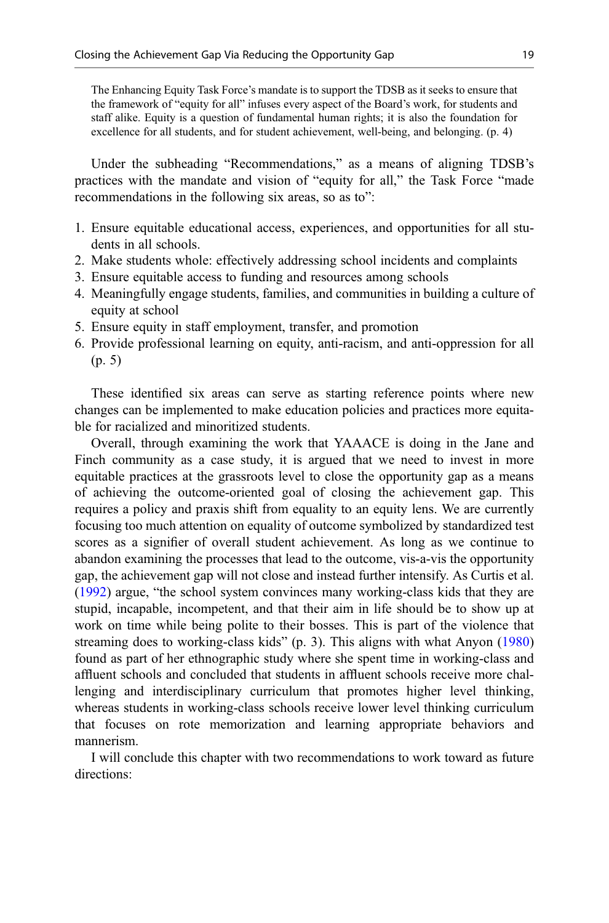The Enhancing Equity Task Force's mandate is to support the TDSB as it seeks to ensure that the framework of "equity for all" infuses every aspect of the Board's work, for students and staff alike. Equity is a question of fundamental human rights; it is also the foundation for excellence for all students, and for student achievement, well-being, and belonging. (p. 4)

Under the subheading "Recommendations," as a means of aligning TDSB's practices with the mandate and vision of "equity for all," the Task Force "made recommendations in the following six areas, so as to":

- 1. Ensure equitable educational access, experiences, and opportunities for all students in all schools.
- 2. Make students whole: effectively addressing school incidents and complaints
- 3. Ensure equitable access to funding and resources among schools
- 4. Meaningfully engage students, families, and communities in building a culture of equity at school
- 5. Ensure equity in staff employment, transfer, and promotion
- 6. Provide professional learning on equity, anti-racism, and anti-oppression for all (p. 5)

These identified six areas can serve as starting reference points where new changes can be implemented to make education policies and practices more equitable for racialized and minoritized students.

Overall, through examining the work that YAAACE is doing in the Jane and Finch community as a case study, it is argued that we need to invest in more equitable practices at the grassroots level to close the opportunity gap as a means of achieving the outcome-oriented goal of closing the achievement gap. This requires a policy and praxis shift from equality to an equity lens. We are currently focusing too much attention on equality of outcome symbolized by standardized test scores as a signifier of overall student achievement. As long as we continue to abandon examining the processes that lead to the outcome, vis-a-vis the opportunity gap, the achievement gap will not close and instead further intensify. As Curtis et al. [\(1992](#page-20-0)) argue, "the school system convinces many working-class kids that they are stupid, incapable, incompetent, and that their aim in life should be to show up at work on time while being polite to their bosses. This is part of the violence that streaming does to working-class kids" (p. 3). This aligns with what Anyon [\(1980](#page-20-0)) found as part of her ethnographic study where she spent time in working-class and affluent schools and concluded that students in affluent schools receive more challenging and interdisciplinary curriculum that promotes higher level thinking, whereas students in working-class schools receive lower level thinking curriculum that focuses on rote memorization and learning appropriate behaviors and mannerism.

I will conclude this chapter with two recommendations to work toward as future directions: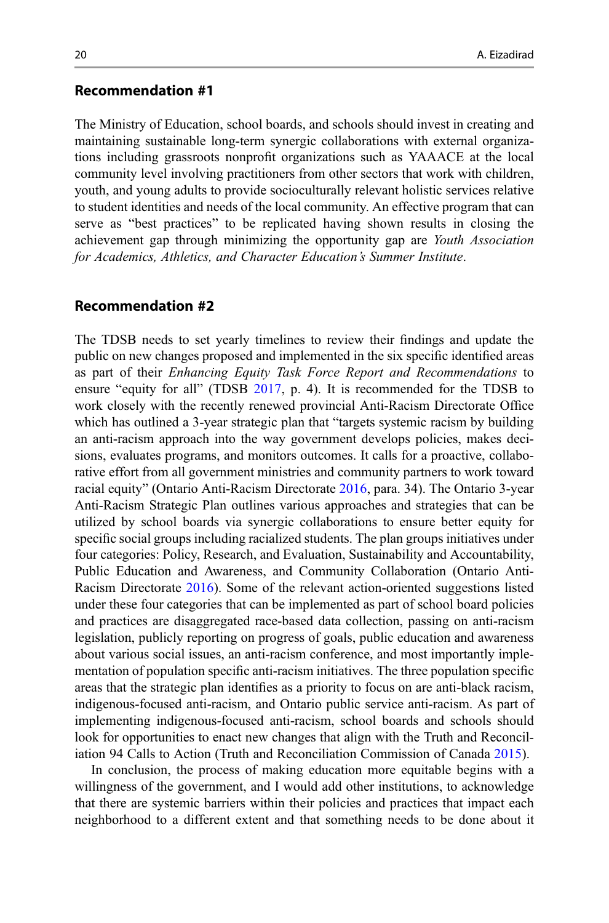#### Recommendation #1

The Ministry of Education, school boards, and schools should invest in creating and maintaining sustainable long-term synergic collaborations with external organizations including grassroots nonprofit organizations such as YAAACE at the local community level involving practitioners from other sectors that work with children, youth, and young adults to provide socioculturally relevant holistic services relative to student identities and needs of the local community. An effective program that can serve as "best practices" to be replicated having shown results in closing the achievement gap through minimizing the opportunity gap are Youth Association for Academics, Athletics, and Character Education's Summer Institute.

#### Recommendation #2

The TDSB needs to set yearly timelines to review their findings and update the public on new changes proposed and implemented in the six specific identified areas as part of their Enhancing Equity Task Force Report and Recommendations to ensure "equity for all" (TDSB [2017](#page-22-0), p. 4). It is recommended for the TDSB to work closely with the recently renewed provincial Anti-Racism Directorate Office which has outlined a 3-year strategic plan that "targets systemic racism by building an anti-racism approach into the way government develops policies, makes decisions, evaluates programs, and monitors outcomes. It calls for a proactive, collaborative effort from all government ministries and community partners to work toward racial equity" (Ontario Anti-Racism Directorate [2016,](#page-22-0) para. 34). The Ontario 3-year Anti-Racism Strategic Plan outlines various approaches and strategies that can be utilized by school boards via synergic collaborations to ensure better equity for specific social groups including racialized students. The plan groups initiatives under four categories: Policy, Research, and Evaluation, Sustainability and Accountability, Public Education and Awareness, and Community Collaboration (Ontario Anti-Racism Directorate [2016](#page-22-0)). Some of the relevant action-oriented suggestions listed under these four categories that can be implemented as part of school board policies and practices are disaggregated race-based data collection, passing on anti-racism legislation, publicly reporting on progress of goals, public education and awareness about various social issues, an anti-racism conference, and most importantly implementation of population specific anti-racism initiatives. The three population specific areas that the strategic plan identifies as a priority to focus on are anti-black racism, indigenous-focused anti-racism, and Ontario public service anti-racism. As part of implementing indigenous-focused anti-racism, school boards and schools should look for opportunities to enact new changes that align with the Truth and Reconciliation 94 Calls to Action (Truth and Reconciliation Commission of Canada [2015\)](#page-22-0).

In conclusion, the process of making education more equitable begins with a willingness of the government, and I would add other institutions, to acknowledge that there are systemic barriers within their policies and practices that impact each neighborhood to a different extent and that something needs to be done about it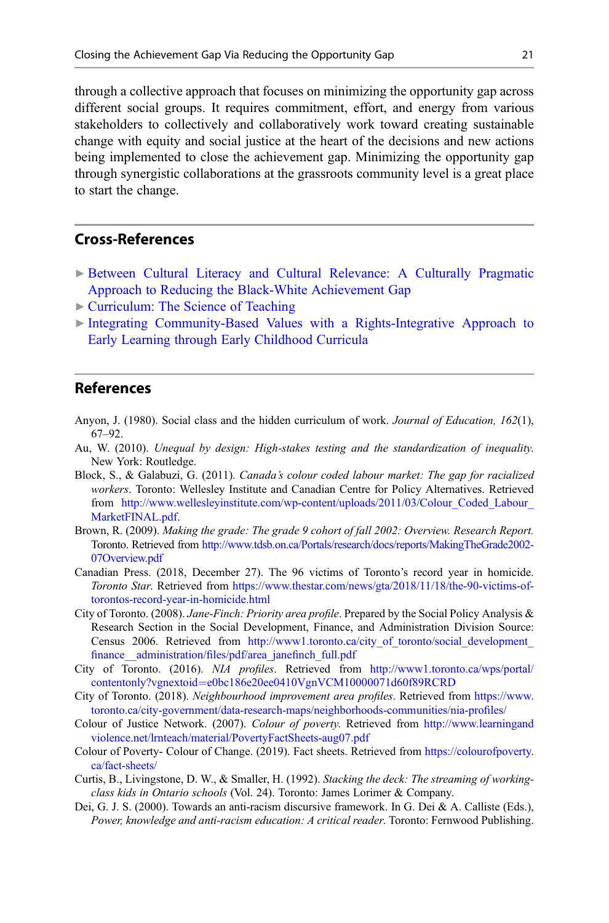<span id="page-20-0"></span>through a collective approach that focuses on minimizing the opportunity gap across different social groups. It requires commitment, effort, and energy from various stakeholders to collectively and collaboratively work toward creating sustainable change with equity and social justice at the heart of the decisions and new actions being implemented to close the achievement gap. Minimizing the opportunity gap through synergistic collaborations at the grassroots community level is a great place to start the change.

#### Cross-References

- ▶ [Between Cultural Literacy and Cultural Relevance: A Culturally Pragmatic](http://link.springer.com/search?facet-eisbn=978-3-030-01426-1&facet-content-type=ReferenceWorkEntry&query=Between Cultural Literacy and Cultural Relevance: A Culturally Pragmatic Approach to Reducing the Black-White Achievement Gap) [Approach to Reducing the Black-White Achievement Gap](http://link.springer.com/search?facet-eisbn=978-3-030-01426-1&facet-content-type=ReferenceWorkEntry&query=Between Cultural Literacy and Cultural Relevance: A Culturally Pragmatic Approach to Reducing the Black-White Achievement Gap)
- ▶ [Curriculum: The Science of Teaching](http://link.springer.com/search?facet-eisbn=978-3-030-01426-1&facet-content-type=ReferenceWorkEntry&query=Altriciality)
- ▶ [Integrating Community-Based Values with a Rights-Integrative Approach to](http://link.springer.com/search?facet-eisbn=978-3-030-01426-1&facet-content-type=ReferenceWorkEntry&query=Integrating Community-Based Values with a Rights-Integrative Approach to Early Learning through Early Childhood Curricula) [Early Learning through Early Childhood Curricula](http://link.springer.com/search?facet-eisbn=978-3-030-01426-1&facet-content-type=ReferenceWorkEntry&query=Integrating Community-Based Values with a Rights-Integrative Approach to Early Learning through Early Childhood Curricula)

#### References

- Anyon, J. (1980). Social class and the hidden curriculum of work. Journal of Education, 162(1), 67–92.
- Au, W. (2010). Unequal by design: High-stakes testing and the standardization of inequality. New York: Routledge.
- Block, S., & Galabuzi, G. (2011). Canada's colour coded labour market: The gap for racialized workers. Toronto: Wellesley Institute and Canadian Centre for Policy Alternatives. Retrieved from [http://www.wellesleyinstitute.com/wp-content/uploads/2011/03/Colour\\_Coded\\_Labour\\_](http://www.wellesleyinstitute.com/wp-content/uploads/2011/03/Colour_Coded_Labour_MarketFINAL.pdf) [MarketFINAL.pdf](http://www.wellesleyinstitute.com/wp-content/uploads/2011/03/Colour_Coded_Labour_MarketFINAL.pdf).
- Brown, R. (2009). Making the grade: The grade 9 cohort of fall 2002: Overview. Research Report. Toronto. Retrieved from [http://www.tdsb.on.ca/Portals/research/docs/reports/MakingTheGrade2002-](http://www.tdsb.on.ca/Portals/research/docs/reports/MakingTheGrade2002-07Overview.pdf) [07Overview.pdf](http://www.tdsb.on.ca/Portals/research/docs/reports/MakingTheGrade2002-07Overview.pdf)
- Canadian Press. (2018, December 27). The 96 victims of Toronto's record year in homicide. Toronto Star. Retrieved from [https://www.thestar.com/news/gta/2018/11/18/the-90-victims-of](https://www.thestar.com/news/gta/2018/11/18/the-90-victims-of-torontos-record-year-in-homicide.html)[torontos-record-year-in-homicide.html](https://www.thestar.com/news/gta/2018/11/18/the-90-victims-of-torontos-record-year-in-homicide.html)
- City of Toronto. (2008). Jane-Finch: Priority area profile. Prepared by the Social Policy Analysis & Research Section in the Social Development, Finance, and Administration Division Source: Census 2006. Retrieved from http://www1.toronto.ca/city\_of\_toronto/social\_development fi[nance\\_\\_administration/](http://www1.toronto.ca/city_of_toronto/social_development_finance__administration/files/pdf/area_janefinch_full.pdf)files/pdf/area\_janefinch\_full.pdf
- City of Toronto. (2016). NIA profiles. Retrieved from [http://www1.toronto.ca/wps/portal/](http://www1.toronto.ca/wps/portal/contentonly?vgnextoid=e0bc186e20ee0410VgnVCM10000071d60f89RCRD) contentonly?vgnextoid=[e0bc186e20ee0410VgnVCM10000071d60f89RCRD](http://www1.toronto.ca/wps/portal/contentonly?vgnextoid=e0bc186e20ee0410VgnVCM10000071d60f89RCRD)
- City of Toronto. (2018). Neighbourhood improvement area profiles. Retrieved from [https://www.](https://www.toronto.ca/city-government/data-research-maps/neighborhoods-communities/nia-profiles/) [toronto.ca/city-government/data-research-maps/neighborhoods-communities/nia-pro](https://www.toronto.ca/city-government/data-research-maps/neighborhoods-communities/nia-profiles/)files/
- Colour of Justice Network. (2007). Colour of poverty. Retrieved from [http://www.learningand](http://www.learningandviolence.net/lrnteach/material/PovertyFactSheets-aug07.pdf) [violence.net/lrnteach/material/PovertyFactSheets-aug07.pdf](http://www.learningandviolence.net/lrnteach/material/PovertyFactSheets-aug07.pdf)
- Colour of Poverty- Colour of Change. (2019). Fact sheets. Retrieved from [https://colourofpoverty.](https://colourofpoverty.ca/fact-sheets/) [ca/fact-sheets/](https://colourofpoverty.ca/fact-sheets/)
- Curtis, B., Livingstone, D. W., & Smaller, H. (1992). Stacking the deck: The streaming of workingclass kids in Ontario schools (Vol. 24). Toronto: James Lorimer & Company.
- Dei, G. J. S. (2000). Towards an anti-racism discursive framework. In G. Dei & A. Calliste (Eds.), Power, knowledge and anti-racism education: A critical reader. Toronto: Fernwood Publishing.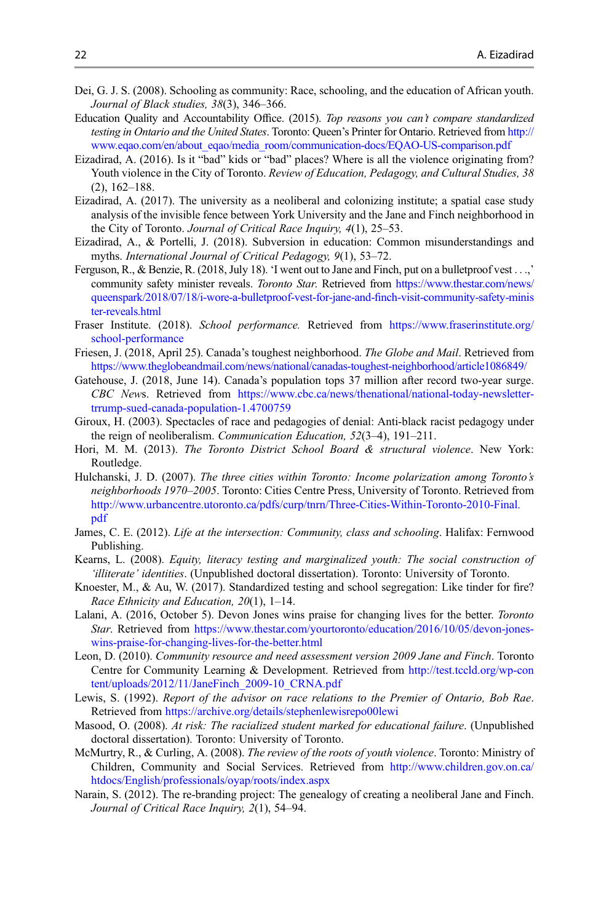- <span id="page-21-0"></span>Dei, G. J. S. (2008). Schooling as community: Race, schooling, and the education of African youth. Journal of Black studies, 38(3), 346–366.
- Education Quality and Accountability Office. (2015). Top reasons you can't compare standardized testing in Ontario and the United States. Toronto: Queen's Printer for Ontario. Retrieved from [http://](http://www.eqao.com/en/about_eqao/media_room/communication-docs/EQAO-US-comparison.pdf) [www.eqao.com/en/about\\_eqao/media\\_room/communication-docs/EQAO-US-comparison.pdf](http://www.eqao.com/en/about_eqao/media_room/communication-docs/EQAO-US-comparison.pdf)
- Eizadirad, A. (2016). Is it "bad" kids or "bad" places? Where is all the violence originating from? Youth violence in the City of Toronto. Review of Education, Pedagogy, and Cultural Studies, 38 (2), 162–188.
- Eizadirad, A. (2017). The university as a neoliberal and colonizing institute; a spatial case study analysis of the invisible fence between York University and the Jane and Finch neighborhood in the City of Toronto. Journal of Critical Race Inquiry, 4(1), 25–53.
- Eizadirad, A., & Portelli, J. (2018). Subversion in education: Common misunderstandings and myths. International Journal of Critical Pedagogy, 9(1), 53–72.
- Ferguson, R., & Benzie, R. (2018, July 18). 'I went out to Jane and Finch, put on a bulletproof vest ...,' community safety minister reveals. Toronto Star. Retrieved from [https://www.thestar.com/news/](https://www.thestar.com/news/queenspark/2018/07/18/i-wore-a-bulletproof-vest-for-jane-and-finch-visit-community-safety-minister-reveals.html) [queenspark/2018/07/18/i-wore-a-bulletproof-vest-for-jane-and-](https://www.thestar.com/news/queenspark/2018/07/18/i-wore-a-bulletproof-vest-for-jane-and-finch-visit-community-safety-minister-reveals.html)finch-visit-community-safety-minis [ter-reveals.html](https://www.thestar.com/news/queenspark/2018/07/18/i-wore-a-bulletproof-vest-for-jane-and-finch-visit-community-safety-minister-reveals.html)
- Fraser Institute. (2018). School performance. Retrieved from [https://www.fraserinstitute.org/](https://www.fraserinstitute.org/school-performance) [school-performance](https://www.fraserinstitute.org/school-performance)
- Friesen, J. (2018, April 25). Canada's toughest neighborhood. The Globe and Mail. Retrieved from <https://www.theglobeandmail.com/news/national/canadas-toughest-neighborhood/article1086849/>
- Gatehouse, J. (2018, June 14). Canada's population tops 37 million after record two-year surge. CBC News. Retrieved from [https://www.cbc.ca/news/thenational/national-today-newsletter](https://www.cbc.ca/news/thenational/national-today-newsletter-trrump-sued-canada-population-1.4700759)[trrump-sued-canada-population-1.4700759](https://www.cbc.ca/news/thenational/national-today-newsletter-trrump-sued-canada-population-1.4700759)
- Giroux, H. (2003). Spectacles of race and pedagogies of denial: Anti-black racist pedagogy under the reign of neoliberalism. Communication Education, 52(3–4), 191–211.
- Hori, M. M. (2013). The Toronto District School Board & structural violence. New York: Routledge.
- Hulchanski, J. D. (2007). The three cities within Toronto: Income polarization among Toronto's neighborhoods 1970–2005. Toronto: Cities Centre Press, University of Toronto. Retrieved from [http://www.urbancentre.utoronto.ca/pdfs/curp/tnrn/Three-Cities-Within-Toronto-2010-Final.](http://www.urbancentre.utoronto.ca/pdfs/curp/tnrn/Three-Cities-Within-Toronto-2010-Final.pdf) [pdf](http://www.urbancentre.utoronto.ca/pdfs/curp/tnrn/Three-Cities-Within-Toronto-2010-Final.pdf)
- James, C. E. (2012). Life at the intersection: Community, class and schooling. Halifax: Fernwood Publishing.
- Kearns, L. (2008). Equity, literacy testing and marginalized youth: The social construction of 'illiterate' identities. (Unpublished doctoral dissertation). Toronto: University of Toronto.
- Knoester, M., & Au, W. (2017). Standardized testing and school segregation: Like tinder for fire? Race Ethnicity and Education, 20(1), 1-14.
- Lalani, A. (2016, October 5). Devon Jones wins praise for changing lives for the better. Toronto Star. Retrieved from [https://www.thestar.com/yourtoronto/education/2016/10/05/devon-jones](https://www.thestar.com/yourtoronto/education/2016/10/05/devon-jones-wins-praise-for-changing-lives-for-the-better.html)[wins-praise-for-changing-lives-for-the-better.html](https://www.thestar.com/yourtoronto/education/2016/10/05/devon-jones-wins-praise-for-changing-lives-for-the-better.html)
- Leon, D. (2010). Community resource and need assessment version 2009 Jane and Finch. Toronto Centre for Community Learning & Development. Retrieved from [http://test.tccld.org/wp-con](http://test.tccld.org/wp-content/uploads/2012/11/JaneFinch_2009-10_CRNA.pdf) [tent/uploads/2012/11/JaneFinch\\_2009-10\\_CRNA.pdf](http://test.tccld.org/wp-content/uploads/2012/11/JaneFinch_2009-10_CRNA.pdf)
- Lewis, S. (1992). Report of the advisor on race relations to the Premier of Ontario, Bob Rae. Retrieved from <https://archive.org/details/stephenlewisrepo00lewi>
- Masood, O. (2008). At risk: The racialized student marked for educational failure. (Unpublished doctoral dissertation). Toronto: University of Toronto.
- McMurtry, R., & Curling, A. (2008). The review of the roots of youth violence. Toronto: Ministry of Children, Community and Social Services. Retrieved from [http://www.children.gov.on.ca/](http://www.children.gov.on.ca/htdocs/English/professionals/oyap/roots/index.aspx) [htdocs/English/professionals/oyap/roots/index.aspx](http://www.children.gov.on.ca/htdocs/English/professionals/oyap/roots/index.aspx)
- Narain, S. (2012). The re-branding project: The genealogy of creating a neoliberal Jane and Finch. Journal of Critical Race Inquiry, 2(1), 54–94.